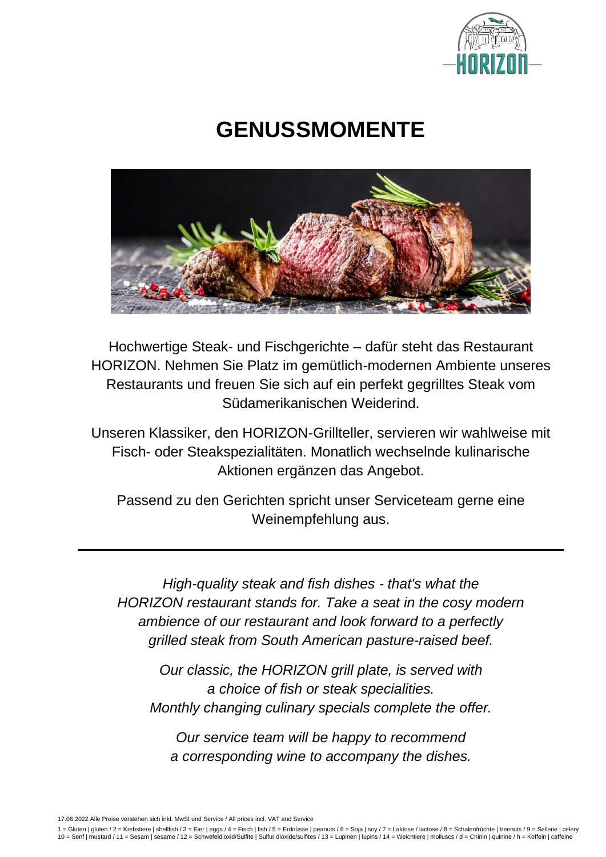

# **GENUSSMOMENTE**



Hochwertige Steak- und Fischgerichte – dafür steht das Restaurant HORIZON. Nehmen Sie Platz im gemütlich-modernen Ambiente unseres Restaurants und freuen Sie sich auf ein perfekt gegrilltes Steak vom Südamerikanischen Weiderind.

Unseren Klassiker, den HORIZON-Grillteller, servieren wir wahlweise mit Fisch- oder Steakspezialitäten. Monatlich wechselnde kulinarische Aktionen ergänzen das Angebot.

Passend zu den Gerichten spricht unser Serviceteam gerne eine Weinempfehlung aus.

*High-quality steak and fish dishes - that's what the HORIZON restaurant stands for. Take a seat in the cosy modern ambience of our restaurant and look forward to a perfectly grilled steak from South American pasture-raised beef.*

*Our classic, the HORIZON grill plate, is served with a choice of fish or steak specialities. Monthly changing culinary specials complete the offer.*

*Our service team will be happy to recommend a corresponding wine to accompany the dishes.*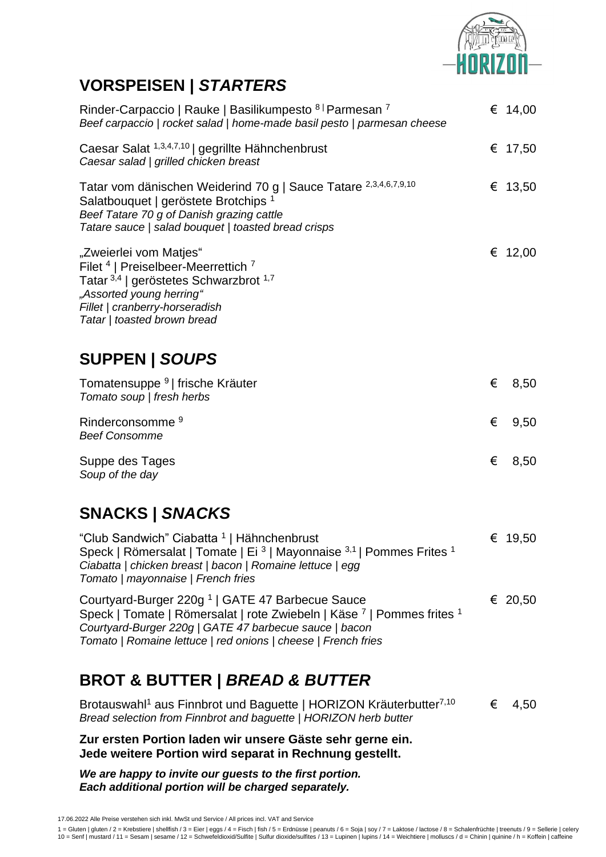

## **VORSPEISEN |** *STARTERS*

| Rinder-Carpaccio   Rauke   Basilikumpesto 8   Parmesan 7<br>Beef carpaccio   rocket salad   home-made basil pesto   parmesan cheese                                                                                                              |   | € 14,00   |
|--------------------------------------------------------------------------------------------------------------------------------------------------------------------------------------------------------------------------------------------------|---|-----------|
| Caesar Salat 1,3,4,7,10   gegrillte Hähnchenbrust<br>Caesar salad   grilled chicken breast                                                                                                                                                       |   | € 17,50   |
| Tatar vom dänischen Weiderind 70 g   Sauce Tatare 2,3,4,6,7,9,10<br>Salatbouquet   geröstete Brotchips <sup>1</sup><br>Beef Tatare 70 g of Danish grazing cattle<br>Tatare sauce   salad bouquet   toasted bread crisps                          |   | € 13,50   |
| "Zweierlei vom Matjes"<br>Filet <sup>4</sup>   Preiselbeer-Meerrettich <sup>7</sup><br>Tatar <sup>3,4</sup>   geröstetes Schwarzbrot <sup>1,7</sup><br>"Assorted young herring"<br>Fillet   cranberry-horseradish<br>Tatar   toasted brown bread |   | € $12,00$ |
| <b>SUPPEN   SOUPS</b>                                                                                                                                                                                                                            |   |           |
| Tomatensuppe <sup>9</sup>   frische Kräuter<br>Tomato soup   fresh herbs                                                                                                                                                                         | € | 8,50      |
| Rinderconsomme <sup>9</sup><br><b>Beef Consomme</b>                                                                                                                                                                                              | € | 9,50      |
| Suppe des Tages<br>Soup of the day                                                                                                                                                                                                               | € | 8,50      |

## **SNACKS |** *SNACKS*

| "Club Sandwich" Ciabatta <sup>1</sup>   Hähnchenbrust                                                  | € 19.50 |
|--------------------------------------------------------------------------------------------------------|---------|
| Speck   Römersalat   Tomate   Ei <sup>3</sup>   Mayonnaise <sup>3,1</sup>   Pommes Frites <sup>1</sup> |         |
| Ciabatta   chicken breast   bacon   Romaine lettuce   egg                                              |         |
| Tomato   mayonnaise   French fries                                                                     |         |
|                                                                                                        |         |

Courtyard-Burger 220g <sup>1</sup> | GATE 47 Barbecue Sauce € 20,50 Speck | Tomate | Römersalat | rote Zwiebeln | Käse <sup>7</sup> | Pommes frites <sup>1</sup> *Courtyard-Burger 220g | GATE 47 barbecue sauce | bacon Tomato | Romaine lettuce | red onions | cheese | French fries*

## **BROT & BUTTER |** *BREAD & BUTTER*

Brotauswahl<sup>1</sup> aus Finnbrot und Baguette | HORIZON Kräuterbutter<sup>7,10</sup>  $\epsilon$  4,50 *Bread selection from Finnbrot and baguette | HORIZON herb butter*

**Zur ersten Portion laden wir unsere Gäste sehr gerne ein. Jede weitere Portion wird separat in Rechnung gestellt.**

*We are happy to invite our guests to the first portion. Each additional portion will be charged separately.*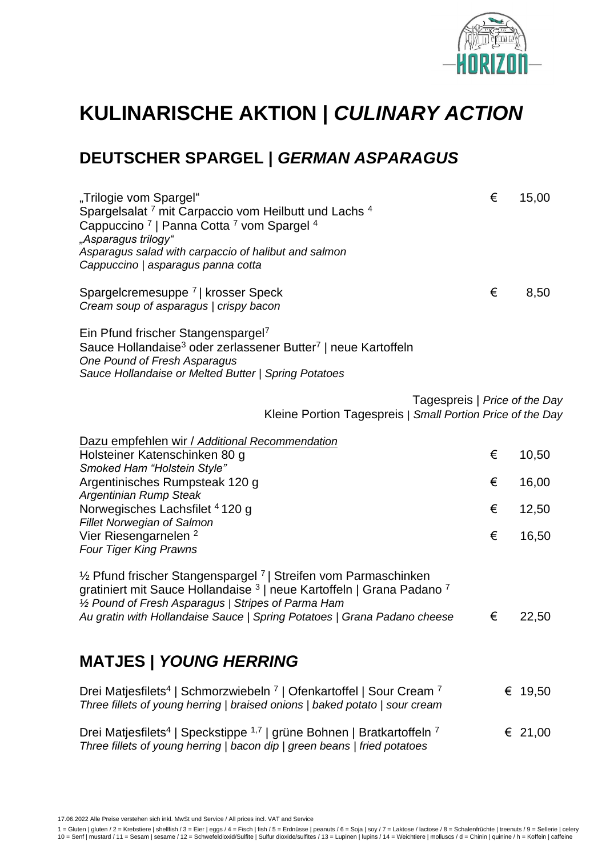

# **KULINARISCHE AKTION |** *CULINARY ACTION*

## **DEUTSCHER SPARGEL |** *GERMAN ASPARAGUS*

| "Trilogie vom Spargel"<br>Spargelsalat <sup>7</sup> mit Carpaccio vom Heilbutt und Lachs <sup>4</sup><br>Cappuccino <sup>7</sup>   Panna Cotta <sup>7</sup> vom Spargel <sup>4</sup><br>"Asparagus trilogy"<br>Asparagus salad with carpaccio of halibut and salmon<br>Cappuccino   asparagus panna cotta     | € | 15,00   |
|---------------------------------------------------------------------------------------------------------------------------------------------------------------------------------------------------------------------------------------------------------------------------------------------------------------|---|---------|
| Spargelcremesuppe <sup>7</sup>   krosser Speck<br>Cream soup of asparagus   crispy bacon                                                                                                                                                                                                                      | € | 8,50    |
| Ein Pfund frischer Stangenspargel <sup>7</sup><br>Sauce Hollandaise <sup>3</sup> oder zerlassener Butter <sup>7</sup>   neue Kartoffeln<br>One Pound of Fresh Asparagus<br>Sauce Hollandaise or Melted Butter   Spring Potatoes                                                                               |   |         |
| Tagespreis   Price of the Day<br>Kleine Portion Tagespreis   Small Portion Price of the Day                                                                                                                                                                                                                   |   |         |
| Dazu empfehlen wir / Additional Recommendation                                                                                                                                                                                                                                                                |   |         |
| Holsteiner Katenschinken 80 g<br>Smoked Ham "Holstein Style"                                                                                                                                                                                                                                                  | € | 10,50   |
| Argentinisches Rumpsteak 120 g                                                                                                                                                                                                                                                                                | € | 16,00   |
| Argentinian Rump Steak                                                                                                                                                                                                                                                                                        |   |         |
| Norwegisches Lachsfilet 4120 g<br><b>Fillet Norwegian of Salmon</b>                                                                                                                                                                                                                                           | € | 12,50   |
| Vier Riesengarnelen <sup>2</sup><br><b>Four Tiger King Prawns</b>                                                                                                                                                                                                                                             | € | 16,50   |
| 1/2 Pfund frischer Stangenspargel <sup>7</sup>   Streifen vom Parmaschinken<br>gratiniert mit Sauce Hollandaise <sup>3</sup>   neue Kartoffeln   Grana Padano <sup>7</sup><br>1/2 Pound of Fresh Asparagus   Stripes of Parma Ham<br>Au gratin with Hollandaise Sauce   Spring Potatoes   Grana Padano cheese | € | 22,50   |
| <b>MATJES   YOUNG HERRING</b>                                                                                                                                                                                                                                                                                 |   |         |
| Drei Matjesfilets <sup>4</sup>   Schmorzwiebeln <sup>7</sup>   Ofenkartoffel   Sour Cream <sup>7</sup><br>Three fillets of young herring   braised onions   baked potato   sour cream                                                                                                                         |   | € 19,50 |
| Drei Matjesfilets <sup>4</sup>   Speckstippe <sup>1,7</sup>   grüne Bohnen   Bratkartoffeln <sup>7</sup>                                                                                                                                                                                                      |   | € 21,00 |

17.06.2022 Alle Preise verstehen sich inkl. MwSt und Service / All prices incl. VAT and Service

*Three fillets of young herring | bacon dip | green beans | fried potatoes*

1 = Gluten | gluten / 2 = Krebstiere | shellfish / 3 = Eier | eggs / 4 = Fisch | fish / 5 = Erdnüsse | peanuts / 6 = Soja | soy / 7 = Laktose / lactose / 8 = Schalenfrüchte | treenuts / 9 = Sellerie | celery<br>10 = Senf | mu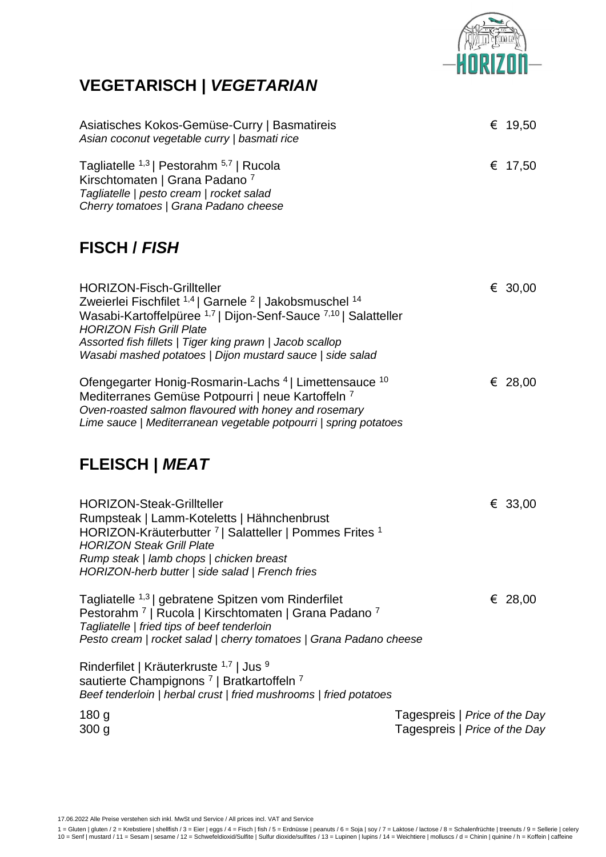

## **VEGETARISCH |** *VEGETARIAN*

| Asiatisches Kokos-Gemüse-Curry   Basmatireis<br>Asian coconut vegetable curry   basmati rice                                                                                                                                                                                                                                                                                      |                                                                | € 19,50 |
|-----------------------------------------------------------------------------------------------------------------------------------------------------------------------------------------------------------------------------------------------------------------------------------------------------------------------------------------------------------------------------------|----------------------------------------------------------------|---------|
| Tagliatelle <sup>1,3</sup>   Pestorahm <sup>5,7</sup>   Rucola<br>Kirschtomaten   Grana Padano <sup>7</sup><br>Tagliatelle   pesto cream   rocket salad<br>Cherry tomatoes   Grana Padano cheese                                                                                                                                                                                  |                                                                | € 17,50 |
| <b>FISCH / FISH</b>                                                                                                                                                                                                                                                                                                                                                               |                                                                |         |
| <b>HORIZON-Fisch-Grillteller</b><br>Zweierlei Fischfilet <sup>1,4</sup>   Garnele <sup>2</sup>   Jakobsmuschel <sup>14</sup><br>Wasabi-Kartoffelpüree <sup>1,7</sup>   Dijon-Senf-Sauce <sup>7,10</sup>   Salatteller<br><b>HORIZON Fish Grill Plate</b><br>Assorted fish fillets   Tiger king prawn   Jacob scallop<br>Wasabi mashed potatoes   Dijon mustard sauce   side salad |                                                                | € 30,00 |
| Ofengegarter Honig-Rosmarin-Lachs <sup>4</sup>   Limettensauce <sup>10</sup><br>Mediterranes Gemüse Potpourri   neue Kartoffeln 7<br>Oven-roasted salmon flavoured with honey and rosemary<br>Lime sauce   Mediterranean vegetable potpourri   spring potatoes                                                                                                                    |                                                                | € 28,00 |
| <b>FLEISCH   MEAT</b>                                                                                                                                                                                                                                                                                                                                                             |                                                                |         |
| <b>HORIZON-Steak-Grillteller</b><br>Rumpsteak   Lamm-Koteletts   Hähnchenbrust<br>HORIZON-Kräuterbutter 7   Salatteller   Pommes Frites 1<br><b>HORIZON Steak Grill Plate</b><br>Rump steak   lamb chops   chicken breast<br>HORIZON-herb butter   side salad   French fries                                                                                                      |                                                                | € 33,00 |
| Tagliatelle <sup>1,3</sup>   gebratene Spitzen vom Rinderfilet<br>Pestorahm <sup>7</sup>   Rucola   Kirschtomaten   Grana Padano <sup>7</sup><br>Tagliatelle   fried tips of beef tenderloin<br>Pesto cream   rocket salad   cherry tomatoes   Grana Padano cheese                                                                                                                |                                                                | € 28,00 |
| Rinderfilet   Kräuterkruste 1,7   Jus 9<br>sautierte Champignons <sup>7</sup>   Bratkartoffeln <sup>7</sup><br>Beef tenderloin   herbal crust   fried mushrooms   fried potatoes                                                                                                                                                                                                  |                                                                |         |
| 180 <sub>g</sub><br>300 <sub>g</sub>                                                                                                                                                                                                                                                                                                                                              | Tagespreis   Price of the Day<br>Tagespreis   Price of the Day |         |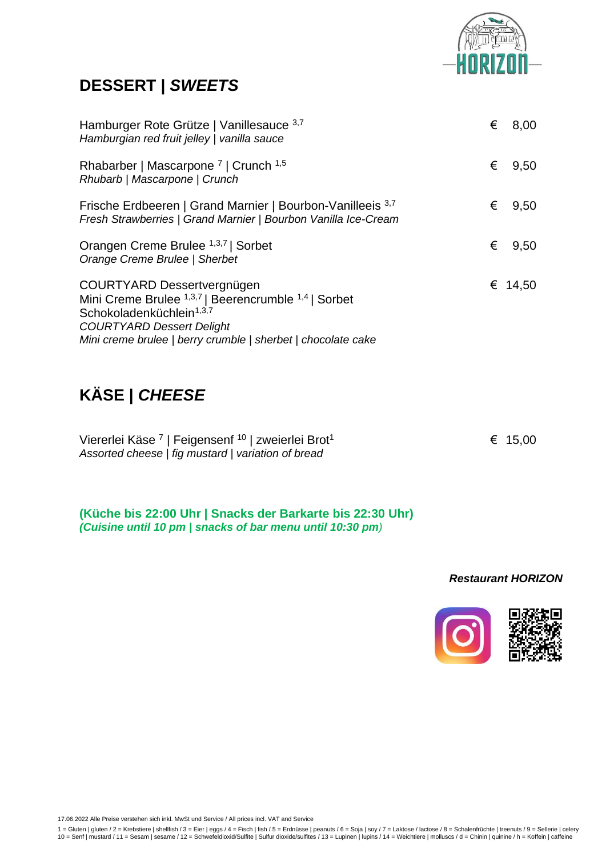

### **DESSERT |** *SWEETS*

| Hamburger Rote Grütze   Vanillesauce 3,7<br>Hamburgian red fruit jelley   vanilla sauce                                                                                                                                                              | € | 8,00    |
|------------------------------------------------------------------------------------------------------------------------------------------------------------------------------------------------------------------------------------------------------|---|---------|
| Rhabarber   Mascarpone <sup>7</sup>   Crunch <sup>1,5</sup><br>Rhubarb   Mascarpone   Crunch                                                                                                                                                         | € | 9,50    |
| Frische Erdbeeren   Grand Marnier   Bourbon-Vanilleeis 3,7<br>Fresh Strawberries   Grand Marnier   Bourbon Vanilla Ice-Cream                                                                                                                         | € | 9,50    |
| Orangen Creme Brulee 1,3,7   Sorbet<br>Orange Creme Brulee   Sherbet                                                                                                                                                                                 | € | 9,50    |
| COURTYARD Dessertvergnügen<br>Mini Creme Brulee <sup>1,3,7</sup>   Beerencrumble <sup>1,4</sup>   Sorbet<br>Schokoladenküchlein <sup>1,3,7</sup><br><b>COURTYARD Dessert Delight</b><br>Mini creme brulee   berry crumble   sherbet   chocolate cake |   | € 14,50 |

## **KÄSE |** *CHEESE*

| Viererlei Käse <sup>7</sup>   Feigensenf <sup>10</sup>   zweierlei Brot <sup>1</sup> | € 15.00 |
|--------------------------------------------------------------------------------------|---------|
| Assorted cheese   fig mustard   variation of bread                                   |         |

**(Küche bis 22:00 Uhr | Snacks der Barkarte bis 22:30 Uhr)** *(Cuisine until 10 pm | snacks of bar menu until 10:30 pm)*

#### *Restaurant HORIZON*

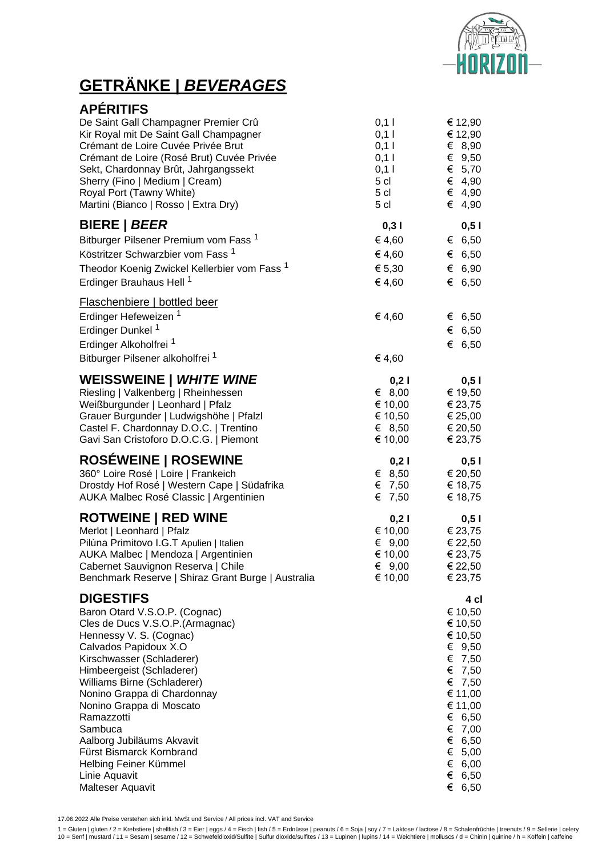

## **GETRÄNKE |** *BEVERAGES*

| <b>APÉRITIFS</b>                                                                                                                                                                                                                                                                                                                                                                                                                             |                  |                                                                                                                                                                               |
|----------------------------------------------------------------------------------------------------------------------------------------------------------------------------------------------------------------------------------------------------------------------------------------------------------------------------------------------------------------------------------------------------------------------------------------------|------------------|-------------------------------------------------------------------------------------------------------------------------------------------------------------------------------|
| De Saint Gall Champagner Premier Crû                                                                                                                                                                                                                                                                                                                                                                                                         | 0,11             | € 12,90                                                                                                                                                                       |
| Kir Royal mit De Saint Gall Champagner                                                                                                                                                                                                                                                                                                                                                                                                       | 0,11             | € 12,90                                                                                                                                                                       |
| Crémant de Loire Cuvée Privée Brut                                                                                                                                                                                                                                                                                                                                                                                                           | 0,11             | € 8,90                                                                                                                                                                        |
| Crémant de Loire (Rosé Brut) Cuvée Privée                                                                                                                                                                                                                                                                                                                                                                                                    | 0,11             | € $9,50$                                                                                                                                                                      |
| Sekt, Chardonnay Brût, Jahrgangssekt                                                                                                                                                                                                                                                                                                                                                                                                         | 0,11             | € $5,70$                                                                                                                                                                      |
| Sherry (Fino   Medium   Cream)                                                                                                                                                                                                                                                                                                                                                                                                               | 5 <sub>cl</sub>  | € 4,90                                                                                                                                                                        |
| Royal Port (Tawny White)                                                                                                                                                                                                                                                                                                                                                                                                                     | 5 cl             | € 4,90                                                                                                                                                                        |
| Martini (Bianco   Rosso   Extra Dry)                                                                                                                                                                                                                                                                                                                                                                                                         | 5 <sub>cl</sub>  | € 4,90                                                                                                                                                                        |
| <b>BIERE   BEER</b>                                                                                                                                                                                                                                                                                                                                                                                                                          | 0,31             | 0,51                                                                                                                                                                          |
| Bitburger Pilsener Premium vom Fass <sup>1</sup>                                                                                                                                                                                                                                                                                                                                                                                             | € 4,60           | € 6,50                                                                                                                                                                        |
| Köstritzer Schwarzbier vom Fass <sup>1</sup>                                                                                                                                                                                                                                                                                                                                                                                                 | € 4,60           | € 6,50                                                                                                                                                                        |
| Theodor Koenig Zwickel Kellerbier vom Fass <sup>1</sup>                                                                                                                                                                                                                                                                                                                                                                                      | € 5,30           | € 6,90                                                                                                                                                                        |
| Erdinger Brauhaus Hell <sup>1</sup>                                                                                                                                                                                                                                                                                                                                                                                                          | € 4,60           | € 6,50                                                                                                                                                                        |
| <b>Flaschenbiere   bottled beer</b><br>Erdinger Hefeweizen <sup>1</sup><br>Erdinger Dunkel <sup>1</sup><br>Erdinger Alkoholfrei <sup>1</sup><br>Bitburger Pilsener alkoholfrei <sup>1</sup>                                                                                                                                                                                                                                                  | € 4,60<br>€ 4,60 | € 6,50<br>€ 6,50<br>€ 6,50                                                                                                                                                    |
| WEISSWEINE   WHITE WINE                                                                                                                                                                                                                                                                                                                                                                                                                      | 0,21             | 0,51                                                                                                                                                                          |
| Riesling   Valkenberg   Rheinhessen                                                                                                                                                                                                                                                                                                                                                                                                          | € 8,00           | € 19,50                                                                                                                                                                       |
| Weißburgunder   Leonhard   Pfalz                                                                                                                                                                                                                                                                                                                                                                                                             | € 10,00          | € 23,75                                                                                                                                                                       |
| Grauer Burgunder   Ludwigshöhe   Pfalzl                                                                                                                                                                                                                                                                                                                                                                                                      | € 10,50          | € 25,00                                                                                                                                                                       |
| Castel F. Chardonnay D.O.C.   Trentino                                                                                                                                                                                                                                                                                                                                                                                                       | € 8,50           | € 20,50                                                                                                                                                                       |
| Gavi San Cristoforo D.O.C.G.   Piemont                                                                                                                                                                                                                                                                                                                                                                                                       | € 10,00          | € 23,75                                                                                                                                                                       |
| <b>ROSÉWEINE   ROSEWINE</b>                                                                                                                                                                                                                                                                                                                                                                                                                  | 0,21             | 0,51                                                                                                                                                                          |
| 360° Loire Rosé   Loire   Frankeich                                                                                                                                                                                                                                                                                                                                                                                                          | € 8,50           | € 20,50                                                                                                                                                                       |
| Drostdy Hof Rosé   Western Cape   Südafrika                                                                                                                                                                                                                                                                                                                                                                                                  | € 7,50           | € 18,75                                                                                                                                                                       |
| AUKA Malbec Rosé Classic   Argentinien                                                                                                                                                                                                                                                                                                                                                                                                       | € 7,50           | € 18,75                                                                                                                                                                       |
| <b>ROTWEINE   RED WINE</b>                                                                                                                                                                                                                                                                                                                                                                                                                   | 0,21             | 0,51                                                                                                                                                                          |
| Merlot   Leonhard   Pfalz                                                                                                                                                                                                                                                                                                                                                                                                                    | € 10,00          | € 23,75                                                                                                                                                                       |
| Pilùna Primitovo I.G.T Apulien   Italien                                                                                                                                                                                                                                                                                                                                                                                                     | € $9,00$         | € 22,50                                                                                                                                                                       |
| AUKA Malbec   Mendoza   Argentinien                                                                                                                                                                                                                                                                                                                                                                                                          | € 10,00          | € 23,75                                                                                                                                                                       |
| Cabernet Sauvignon Reserva   Chile                                                                                                                                                                                                                                                                                                                                                                                                           | € $9,00$         | € 22,50                                                                                                                                                                       |
| Benchmark Reserve   Shiraz Grant Burge   Australia                                                                                                                                                                                                                                                                                                                                                                                           | € 10,00          | € 23,75                                                                                                                                                                       |
| <b>DIGESTIFS</b><br>Baron Otard V.S.O.P. (Cognac)<br>Cles de Ducs V.S.O.P.(Armagnac)<br>Hennessy V. S. (Cognac)<br>Calvados Papidoux X.O<br>Kirschwasser (Schladerer)<br>Himbeergeist (Schladerer)<br>Williams Birne (Schladerer)<br>Nonino Grappa di Chardonnay<br>Nonino Grappa di Moscato<br>Ramazzotti<br>Sambuca<br>Aalborg Jubiläums Akvavit<br>Fürst Bismarck Kornbrand<br>Helbing Feiner Kümmel<br>Linie Aquavit<br>Malteser Aquavit |                  | 4 cl<br>€ 10,50<br>€ 10,50<br>€ 10,50<br>€ $9,50$<br>€ 7,50<br>€ 7,50<br>€ 7,50<br>€ 11,00<br>€ 11,00<br>€ 6,50<br>€ 7,00<br>€ 6,50<br>€ $5,00$<br>€ 6,00<br>€ 6,50<br>€ 6,50 |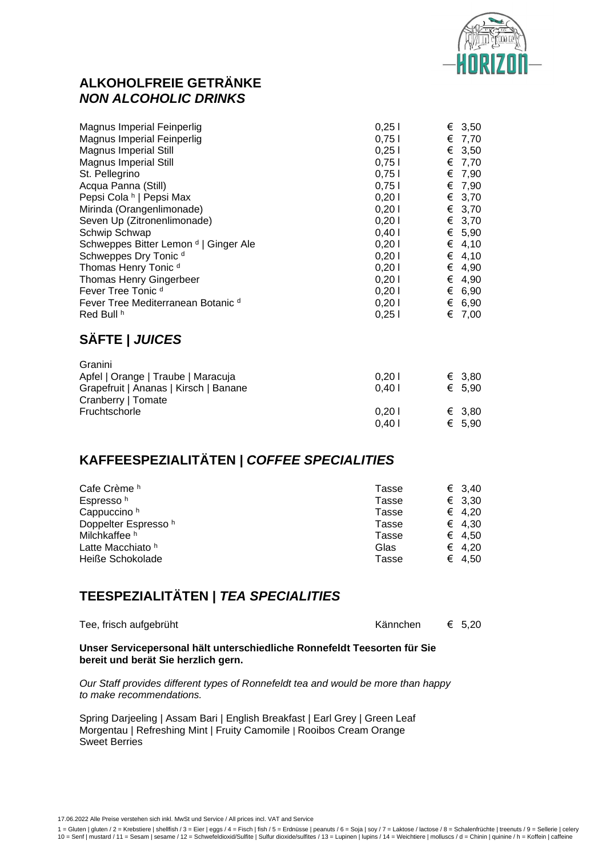

#### **ALKOHOLFREIE GETRÄNKE**  *NON ALCOHOLIC DRINKS*

| Magnus Imperial Feinperlig                       | 0,251 |   | € 3,50 |
|--------------------------------------------------|-------|---|--------|
| Magnus Imperial Feinperlig                       | 0,751 |   | € 7,70 |
| <b>Magnus Imperial Still</b>                     | 0,251 | € | 3,50   |
| <b>Magnus Imperial Still</b>                     | 0,751 |   | € 7,70 |
| St. Pellegrino                                   | 0.751 |   | € 7,90 |
| Acqua Panna (Still)                              | 0,751 |   | € 7,90 |
| Pepsi Cola <sup>h</sup>   Pepsi Max              | 0,201 |   | € 3,70 |
| Mirinda (Orangenlimonade)                        | 0,201 |   | € 3,70 |
| Seven Up (Zitronenlimonade)                      | 0,201 |   | € 3,70 |
| Schwip Schwap                                    | 0.401 |   | € 5,90 |
| Schweppes Bitter Lemon <sup>d</sup>   Ginger Ale | 0,201 |   | € 4,10 |
| Schweppes Dry Tonic <sup>d</sup>                 | 0,201 | € | 4,10   |
| Thomas Henry Tonic <sup>d</sup>                  | 0,201 | € | 4,90   |
| <b>Thomas Henry Gingerbeer</b>                   | 0,201 | € | 4,90   |
| Fever Tree Tonic d                               | 0,201 |   | € 6,90 |
| Fever Tree Mediterranean Botanic d               | 0,201 | € | 6,90   |
| Red Bull h                                       | 0,251 | € | 7,00   |
|                                                  |       |   |        |

#### **SÄFTE |** *JUICES*

| Granini                               |       |                 |
|---------------------------------------|-------|-----------------|
| Apfel   Orange   Traube   Maracuja    | 0.201 | € 3.80          |
| Grapefruit   Ananas   Kirsch   Banane | 0.401 | $\epsilon$ 5.90 |
| Cranberry   Tomate                    |       |                 |
| Fruchtschorle                         | 0.201 | € 3.80          |
|                                       | 0.401 | € 5.90          |

#### **KAFFEESPEZIALITÄTEN |** *COFFEE SPECIALITIES*

| Cafe Crème h                    | Tasse | € 3.40 |
|---------------------------------|-------|--------|
| Espresso <sup>h</sup>           | Tasse | € 3,30 |
| Cappuccino <sup>h</sup>         | Tasse | € 4.20 |
| Doppelter Espresso <sup>h</sup> | Tasse | € 4.30 |
| Milchkaffee h                   | Tasse | € 4.50 |
| Latte Macchiato h               | Glas  | € 4.20 |
| Heiße Schokolade                | Tasse | € 4.50 |

#### **TEESPEZIALITÄTEN |** *TEA SPECIALITIES*

|  | Tee, frisch aufgebrüht |
|--|------------------------|
|  |                        |

Tee, frisch aufgebrüht Kännchen € 5,20

**Unser Servicepersonal hält unterschiedliche Ronnefeldt Teesorten für Sie bereit und berät Sie herzlich gern.** 

*Our Staff provides different types of Ronnefeldt tea and would be more than happy to make recommendations.*

Spring Darjeeling | Assam Bari | English Breakfast | Earl Grey | Green Leaf Morgentau | Refreshing Mint | Fruity Camomile | Rooibos Cream Orange Sweet Berries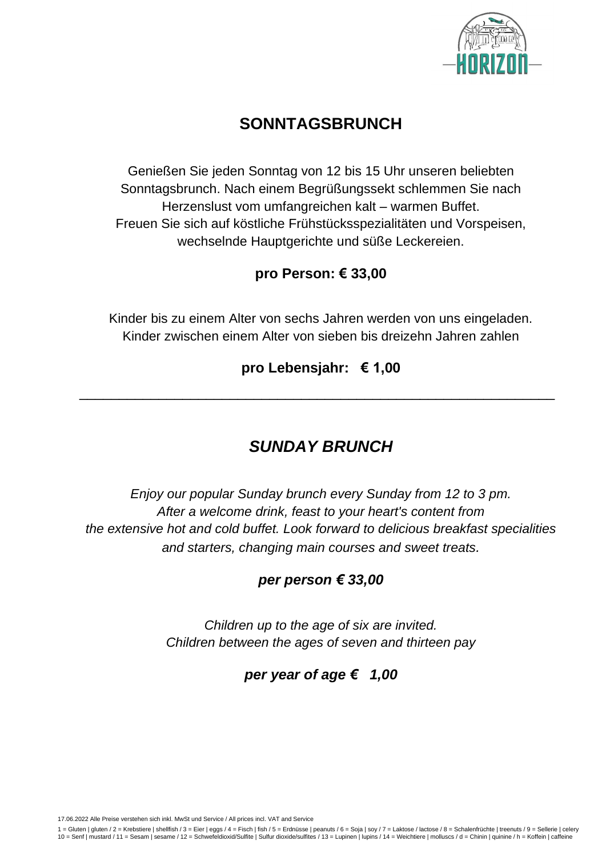

## **SONNTAGSBRUNCH**

Genießen Sie jeden Sonntag von 12 bis 15 Uhr unseren beliebten Sonntagsbrunch. Nach einem Begrüßungssekt schlemmen Sie nach Herzenslust vom umfangreichen kalt – warmen Buffet. Freuen Sie sich auf köstliche Frühstücksspezialitäten und Vorspeisen, wechselnde Hauptgerichte und süße Leckereien.

#### **pro Person: € 33,00**

Kinder bis zu einem Alter von sechs Jahren werden von uns eingeladen. Kinder zwischen einem Alter von sieben bis dreizehn Jahren zahlen

#### **pro Lebensjahr: € 1,00**

 $\_$  ,  $\_$  ,  $\_$  ,  $\_$  ,  $\_$  ,  $\_$  ,  $\_$  ,  $\_$  ,  $\_$  ,  $\_$  ,  $\_$  ,  $\_$  ,  $\_$  ,  $\_$  ,  $\_$  ,  $\_$  ,  $\_$  ,  $\_$  ,  $\_$  ,  $\_$  ,  $\_$  ,  $\_$  ,  $\_$  ,  $\_$  ,  $\_$  ,  $\_$  ,  $\_$  ,  $\_$  ,  $\_$  ,  $\_$  ,  $\_$  ,  $\_$  ,  $\_$  ,  $\_$  ,  $\_$  ,  $\_$  ,  $\_$  ,

## *SUNDAY BRUNCH*

*Enjoy our popular Sunday brunch every Sunday from 12 to 3 pm. After a welcome drink, feast to your heart's content from the extensive hot and cold buffet. Look forward to delicious breakfast specialities and starters, changing main courses and sweet treats.*

#### *per person € 33,00*

*Children up to the age of six are invited. Children between the ages of seven and thirteen pay*

#### *per year of age € 1,00*